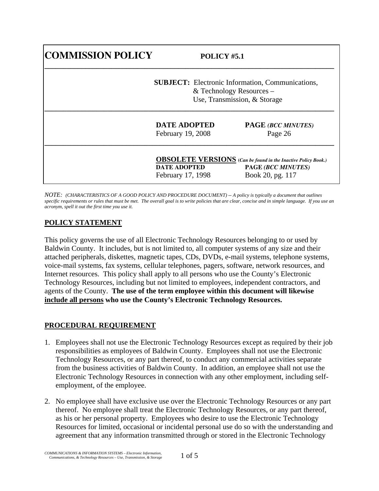| <b>COMMISSION POLICY</b> | POLICY #5.1         |                                                                      |
|--------------------------|---------------------|----------------------------------------------------------------------|
|                          |                     | <b>SUBJECT:</b> Electronic Information, Communications,              |
|                          |                     | & Technology Resources $-$                                           |
|                          |                     | Use, Transmission, & Storage                                         |
|                          | <b>DATE ADOPTED</b> | <b>PAGE (BCC MINUTES)</b>                                            |
|                          | February 19, 2008   | Page 26                                                              |
|                          |                     | <b>OBSOLETE VERSIONS</b> (Can be found in the Inactive Policy Book.) |
|                          | <b>DATE ADOPTED</b> | PAGE (BCC MINUTES)                                                   |
|                          | February 17, 1998   | Book 20, pg. 117                                                     |

*NOTE: (CHARACTERISTICS OF A GOOD POLICY AND PROCEDURE DOCUMENT) -- A policy is typically a document that outlines*  specific requirements or rules that must be met. The overall goal is to write policies that are clear, concise and in simple language. If you use an *acronym, spell it out the first time you use it.* 

## **POLICY STATEMENT**

This policy governs the use of all Electronic Technology Resources belonging to or used by Baldwin County. It includes, but is not limited to, all computer systems of any size and their attached peripherals, diskettes, magnetic tapes, CDs, DVDs, e-mail systems, telephone systems, voice-mail systems, fax systems, cellular telephones, pagers, software, network resources, and Internet resources. This policy shall apply to all persons who use the County's Electronic Technology Resources, including but not limited to employees, independent contractors, and agents of the County. **The use of the term employee within this document will likewise include all persons who use the County's Electronic Technology Resources.**

## **PROCEDURAL REQUIREMENT**

- 1. Employees shall not use the Electronic Technology Resources except as required by their job responsibilities as employees of Baldwin County. Employees shall not use the Electronic Technology Resources, or any part thereof, to conduct any commercial activities separate from the business activities of Baldwin County. In addition, an employee shall not use the Electronic Technology Resources in connection with any other employment, including selfemployment, of the employee.
- 2. No employee shall have exclusive use over the Electronic Technology Resources or any part thereof. No employee shall treat the Electronic Technology Resources, or any part thereof, as his or her personal property. Employees who desire to use the Electronic Technology Resources for limited, occasional or incidental personal use do so with the understanding and agreement that any information transmitted through or stored in the Electronic Technology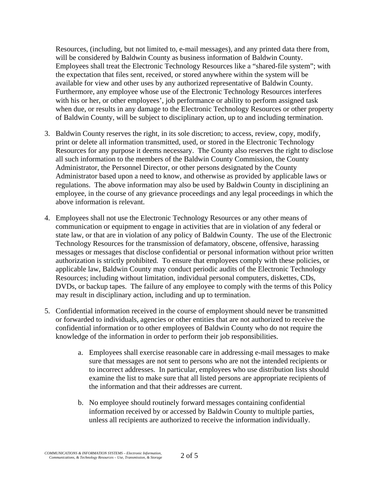Resources, (including, but not limited to, e-mail messages), and any printed data there from, will be considered by Baldwin County as business information of Baldwin County. Employees shall treat the Electronic Technology Resources like a "shared-file system"; with the expectation that files sent, received, or stored anywhere within the system will be available for view and other uses by any authorized representative of Baldwin County. Furthermore, any employee whose use of the Electronic Technology Resources interferes with his or her, or other employees', job performance or ability to perform assigned task when due, or results in any damage to the Electronic Technology Resources or other property of Baldwin County, will be subject to disciplinary action, up to and including termination.

- 3. Baldwin County reserves the right, in its sole discretion; to access, review, copy, modify, print or delete all information transmitted, used, or stored in the Electronic Technology Resources for any purpose it deems necessary. The County also reserves the right to disclose all such information to the members of the Baldwin County Commission, the County Administrator, the Personnel Director, or other persons designated by the County Administrator based upon a need to know, and otherwise as provided by applicable laws or regulations. The above information may also be used by Baldwin County in disciplining an employee, in the course of any grievance proceedings and any legal proceedings in which the above information is relevant.
- 4. Employees shall not use the Electronic Technology Resources or any other means of communication or equipment to engage in activities that are in violation of any federal or state law, or that are in violation of any policy of Baldwin County. The use of the Electronic Technology Resources for the transmission of defamatory, obscene, offensive, harassing messages or messages that disclose confidential or personal information without prior written authorization is strictly prohibited. To ensure that employees comply with these policies, or applicable law, Baldwin County may conduct periodic audits of the Electronic Technology Resources; including without limitation, individual personal computers, diskettes, CDs, DVDs, or backup tapes. The failure of any employee to comply with the terms of this Policy may result in disciplinary action, including and up to termination.
- 5. Confidential information received in the course of employment should never be transmitted or forwarded to individuals, agencies or other entities that are not authorized to receive the confidential information or to other employees of Baldwin County who do not require the knowledge of the information in order to perform their job responsibilities.
	- a. Employees shall exercise reasonable care in addressing e-mail messages to make sure that messages are not sent to persons who are not the intended recipients or to incorrect addresses. In particular, employees who use distribution lists should examine the list to make sure that all listed persons are appropriate recipients of the information and that their addresses are current.
	- b. No employee should routinely forward messages containing confidential information received by or accessed by Baldwin County to multiple parties, unless all recipients are authorized to receive the information individually.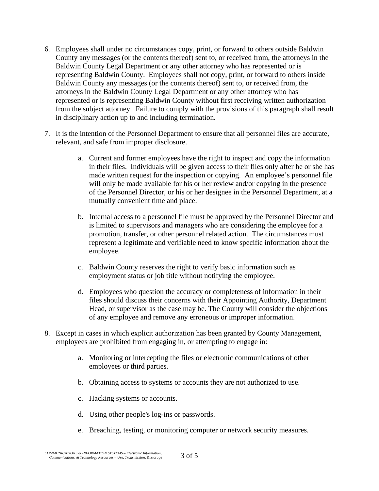- 6. Employees shall under no circumstances copy, print, or forward to others outside Baldwin County any messages (or the contents thereof) sent to, or received from, the attorneys in the Baldwin County Legal Department or any other attorney who has represented or is representing Baldwin County. Employees shall not copy, print, or forward to others inside Baldwin County any messages (or the contents thereof) sent to, or received from, the attorneys in the Baldwin County Legal Department or any other attorney who has represented or is representing Baldwin County without first receiving written authorization from the subject attorney. Failure to comply with the provisions of this paragraph shall result in disciplinary action up to and including termination.
- 7. It is the intention of the Personnel Department to ensure that all personnel files are accurate, relevant, and safe from improper disclosure.
	- a. Current and former employees have the right to inspect and copy the information in their files. Individuals will be given access to their files only after he or she has made written request for the inspection or copying. An employee's personnel file will only be made available for his or her review and/or copying in the presence of the Personnel Director, or his or her designee in the Personnel Department, at a mutually convenient time and place.
	- b. Internal access to a personnel file must be approved by the Personnel Director and is limited to supervisors and managers who are considering the employee for a promotion, transfer, or other personnel related action. The circumstances must represent a legitimate and verifiable need to know specific information about the employee.
	- c. Baldwin County reserves the right to verify basic information such as employment status or job title without notifying the employee.
	- d. Employees who question the accuracy or completeness of information in their files should discuss their concerns with their Appointing Authority, Department Head, or supervisor as the case may be. The County will consider the objections of any employee and remove any erroneous or improper information.
- 8. Except in cases in which explicit authorization has been granted by County Management, employees are prohibited from engaging in, or attempting to engage in:
	- a. Monitoring or intercepting the files or electronic communications of other employees or third parties.
	- b. Obtaining access to systems or accounts they are not authorized to use.
	- c. Hacking systems or accounts.
	- d. Using other people's log-ins or passwords.
	- e. Breaching, testing, or monitoring computer or network security measures.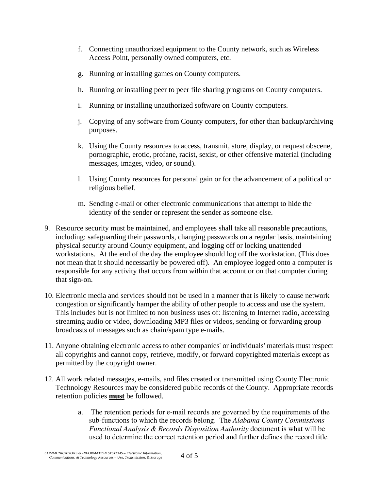- f. Connecting unauthorized equipment to the County network, such as Wireless Access Point, personally owned computers, etc.
- g. Running or installing games on County computers.
- h. Running or installing peer to peer file sharing programs on County computers.
- i. Running or installing unauthorized software on County computers.
- j. Copying of any software from County computers, for other than backup/archiving purposes.
- k. Using the County resources to access, transmit, store, display, or request obscene, pornographic, erotic, profane, racist, sexist, or other offensive material (including messages, images, video, or sound).
- l. Using County resources for personal gain or for the advancement of a political or religious belief.
- m. Sending e-mail or other electronic communications that attempt to hide the identity of the sender or represent the sender as someone else.
- 9. Resource security must be maintained, and employees shall take all reasonable precautions, including: safeguarding their passwords, changing passwords on a regular basis, maintaining physical security around County equipment, and logging off or locking unattended workstations. At the end of the day the employee should log off the workstation. (This does not mean that it should necessarily be powered off). An employee logged onto a computer is responsible for any activity that occurs from within that account or on that computer during that sign-on.
- 10. Electronic media and services should not be used in a manner that is likely to cause network congestion or significantly hamper the ability of other people to access and use the system. This includes but is not limited to non business uses of: listening to Internet radio, accessing streaming audio or video, downloading MP3 files or videos, sending or forwarding group broadcasts of messages such as chain/spam type e-mails.
- 11. Anyone obtaining electronic access to other companies' or individuals' materials must respect all copyrights and cannot copy, retrieve, modify, or forward copyrighted materials except as permitted by the copyright owner.
- 12. All work related messages, e-mails, and files created or transmitted using County Electronic Technology Resources may be considered public records of the County. Appropriate records retention policies **must** be followed.
	- a. The retention periods for e-mail records are governed by the requirements of the sub-functions to which the records belong. The *Alabama County Commissions Functional Analysis & Records Disposition Authority* document is what will be used to determine the correct retention period and further defines the record title